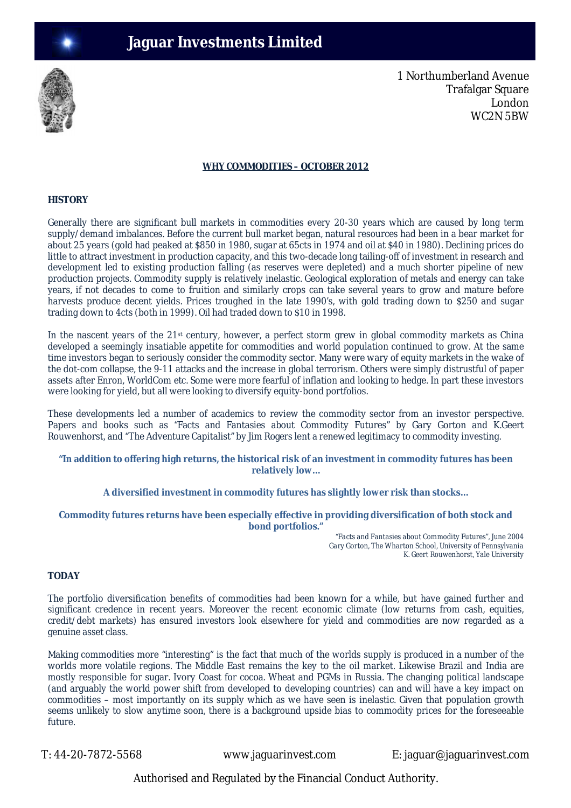

1 Northumberland Avenue Trafalgar Square London WC2N 5BW

#### **WHY COMMODITIES – OCTOBER 2012**

## **HISTORY**

Generally there are significant bull markets in commodities every 20-30 years which are caused by long term supply/demand imbalances. Before the current bull market began, natural resources had been in a bear market for about 25 years (gold had peaked at \$850 in 1980, sugar at 65cts in 1974 and oil at \$40 in 1980). Declining prices do little to attract investment in production capacity, and this two-decade long tailing-off of investment in research and development led to existing production falling (as reserves were depleted) and a much shorter pipeline of new production projects. Commodity supply is relatively inelastic. Geological exploration of metals and energy can take years, if not decades to come to fruition and similarly crops can take several years to grow and mature before harvests produce decent yields. Prices troughed in the late 1990's, with gold trading down to \$250 and sugar trading down to 4cts (both in 1999). Oil had traded down to \$10 in 1998.

In the nascent years of the 21st century, however, a perfect storm grew in global commodity markets as China developed a seemingly insatiable appetite for commodities and world population continued to grow. At the same time investors began to seriously consider the commodity sector. Many were wary of equity markets in the wake of the dot-com collapse, the 9-11 attacks and the increase in global terrorism. Others were simply distrustful of paper assets after Enron, WorldCom etc. Some were more fearful of inflation and looking to hedge. In part these investors were looking for yield, but all were looking to diversify equity-bond portfolios.

These developments led a number of academics to review the commodity sector from an investor perspective. Papers and books such as "Facts and Fantasies about Commodity Futures" by Gary Gorton and K.Geert Rouwenhorst, and "The Adventure Capitalist" by Jim Rogers lent a renewed legitimacy to commodity investing.

#### **"In addition to offering high returns, the historical risk of an investment in commodity futures has been relatively low…**

#### **A diversified investment in commodity futures has slightly lower risk than stocks…**

#### **Commodity futures returns have been especially effective in providing diversification of both stock and bond portfolios."**

*"Facts and Fantasies about Commodity Futures", June 2004 Gary Gorton, The Wharton School, University of Pennsylvania K. Geert Rouwenhorst, Yale University*

# **TODAY**

The portfolio diversification benefits of commodities had been known for a while, but have gained further and significant credence in recent years. Moreover the recent economic climate (low returns from cash, equities, credit/debt markets) has ensured investors look elsewhere for yield and commodities are now regarded as a genuine asset class.

Making commodities more "interesting" is the fact that much of the worlds supply is produced in a number of the worlds more volatile regions. The Middle East remains the key to the oil market. Likewise Brazil and India are mostly responsible for sugar. Ivory Coast for cocoa. Wheat and PGMs in Russia. The changing political landscape (and arguably the world power shift from developed to developing countries) can and will have a key impact on commodities – most importantly on its supply which as we have seen is inelastic. Given that population growth seems unlikely to slow anytime soon, there is a background upside bias to commodity prices for the foreseeable future.

T: 44-20-7872-5568 www.jaguarinvest.com E: jaguar@jaguarinvest.com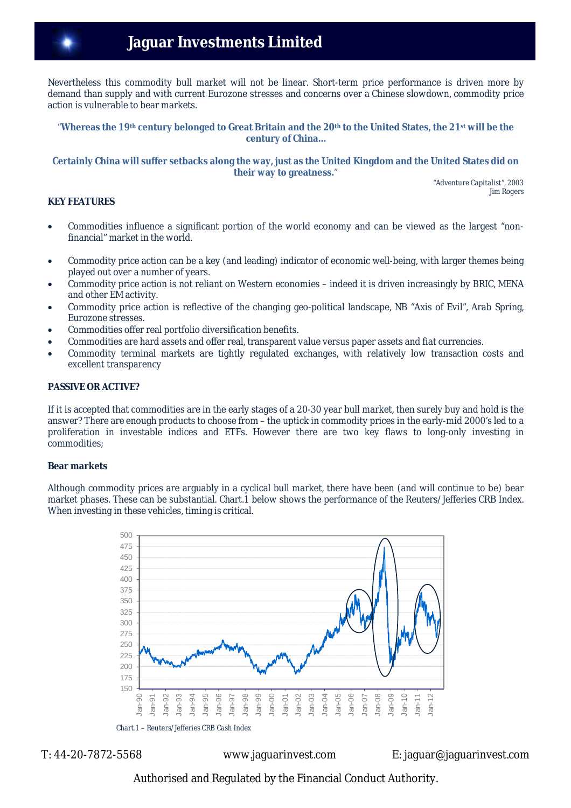# **Jaguar Investments Limited**

Nevertheless this commodity bull market will not be linear. Short-term price performance is driven more by demand than supply and with current Eurozone stresses and concerns over a Chinese slowdown, commodity price action is vulnerable to bear markets.

#### "**Whereas the 19th century belonged to Great Britain and the 20th to the United States, the 21st will be the century of China…**

#### **Certainly China will suffer setbacks along the way, just as the United Kingdom and the United States did on their way to greatness.**"

*"Adventure Capitalist", 2003 Jim Rogers*

# **KEY FEATURES**

- Commodities influence a significant portion of the world economy and can be viewed as the largest "nonfinancial" market in the world.
- Commodity price action can be a key (and leading) indicator of economic well-being, with larger themes being played out over a number of years.
- Commodity price action is not reliant on Western economies indeed it is driven increasingly by BRIC, MENA and other EM activity.
- Commodity price action is reflective of the changing geo-political landscape, NB "Axis of Evil", Arab Spring, Eurozone stresses.
- Commodities offer real portfolio diversification benefits.
- Commodities are hard assets and offer real, transparent value versus paper assets and fiat currencies.
- Commodity terminal markets are tightly regulated exchanges, with relatively low transaction costs and excellent transparency

#### **PASSIVE OR ACTIVE?**

If it is accepted that commodities are in the early stages of a 20-30 year bull market, then surely buy and hold is the answer? There are enough products to choose from – the uptick in commodity prices in the early-mid 2000's led to a proliferation in investable indices and ETFs. However there are two key flaws to long-only investing in commodities;

#### **Bear markets**

Although commodity prices are arguably in a cyclical bull market, there have been (and will continue to be) bear market phases. These can be substantial. Chart.1 below shows the performance of the Reuters/Jefferies CRB Index. When investing in these vehicles, timing is critical.



 *Chart.1 – Reuters/Jefferies CRB Cash Index*

T: 44-20-7872-5568 www.jaguarinvest.com E: jaguar@jaguarinvest.com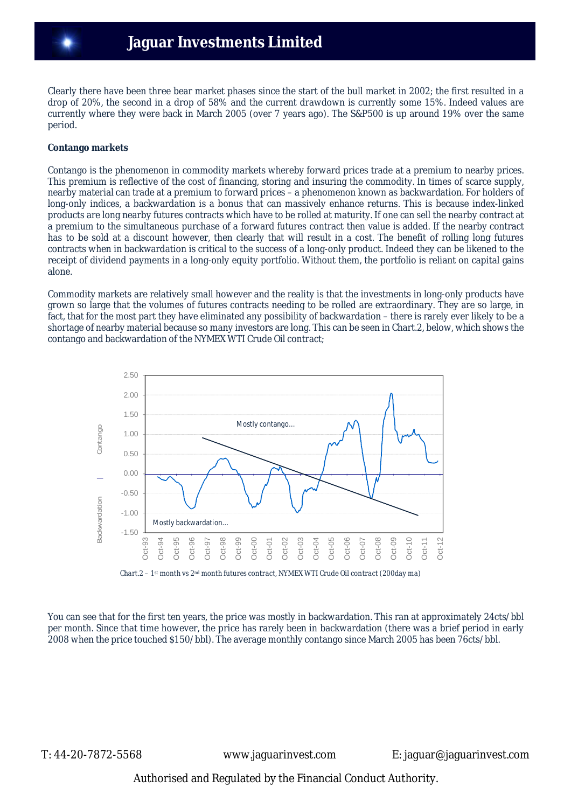Clearly there have been three bear market phases since the start of the bull market in 2002; the first resulted in a drop of 20%, the second in a drop of 58% and the current drawdown is currently some 15%. Indeed values are currently where they were back in March 2005 (over 7 years ago). The S&P500 is up around 19% over the same period.

## **Contango markets**

Contango is the phenomenon in commodity markets whereby forward prices trade at a premium to nearby prices. This premium is reflective of the cost of financing, storing and insuring the commodity. In times of scarce supply, nearby material can trade at a premium to forward prices – a phenomenon known as backwardation. For holders of long-only indices, a backwardation is a bonus that can massively enhance returns. This is because index-linked products are long nearby futures contracts which have to be rolled at maturity. If one can sell the nearby contract at a premium to the simultaneous purchase of a forward futures contract then value is added. If the nearby contract has to be sold at a discount however, then clearly that will result in a cost. The benefit of rolling long futures contracts when in backwardation is critical to the success of a long-only product. Indeed they can be likened to the receipt of dividend payments in a long-only equity portfolio. Without them, the portfolio is reliant on capital gains alone.

Commodity markets are relatively small however and the reality is that the investments in long-only products have grown so large that the volumes of futures contracts needing to be rolled are extraordinary. They are so large, in fact, that for the most part they have eliminated any possibility of backwardation – there is rarely ever likely to be a shortage of nearby material because so many investors are long. This can be seen in Chart.2, below, which shows the contango and backwardation of the NYMEX WTI Crude Oil contract;



 *Chart.2 – 1st month vs 2nd month futures contract, NYMEX WTI Crude Oil contract (200day ma)* 

You can see that for the first ten years, the price was mostly in backwardation. This ran at approximately 24cts/bbl per month. Since that time however, the price has rarely been in backwardation (there was a brief period in early 2008 when the price touched \$150/bbl). The average monthly contango since March 2005 has been 76cts/bbl.

T: 44-20-7872-5568 www.jaguarinvest.com E: jaguar@jaguarinvest.com